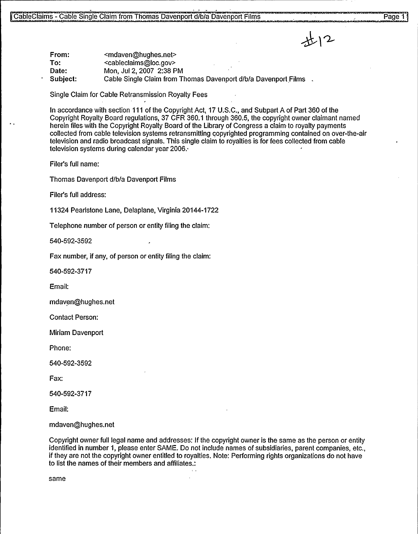

From: To: Date: Subject: <mdaven@hughes.net> <cableclaims@loc.gov> Mon, Jul 2, 2007 2:38 PM Cable Single Claim from Thomas Davenport d/b/a Davenport Films

Single Claim for Cable Retransmission Royalty Fees

In accordance with section 111 of the Copyright Act, 17 U.S.C., and Subpart A of Part 360 of the Copyright Royalty Board regulations, 37 CFR 360.1 through 360.5, the copyright owner claimant named herein files with the Copyright Royalty Board of the Library of Congress a claim to royalty payments collected from cable television systems retransmitting copyrighted programming contained on over-the-air television and radio broadcast signals. This single claim to royalties is for fees collected from cable television systems during calendar year 2006..

Filer's full name:

Thomas Davenport d/b/a Davenport Films

Filer's full address:

11324 Pearlstone Lane, Delaplane, Virginia 20144-1722

Telephone number of person or entity filing the claim:

540-592-3592

Fax number, if any, of person or entity filing the claim:

540-592-3717

Email:

mdaven@hughes.net

Contact Person:

Miriam Davenport

Phone:

540-592-3592

Fax:

540-592-3717

Email:

mdaven@hughes.net

Copyright owner full legal name and addresses: If the copyright owner is the same as the person or entity identified in number 1, please enter SAME. Do not include names of subsidiaries, parent companies, etc., if they are not the copyright owner entitled to royalties. Note: Performing rights organizations do not have to list the names of their members and affiliates.:

same